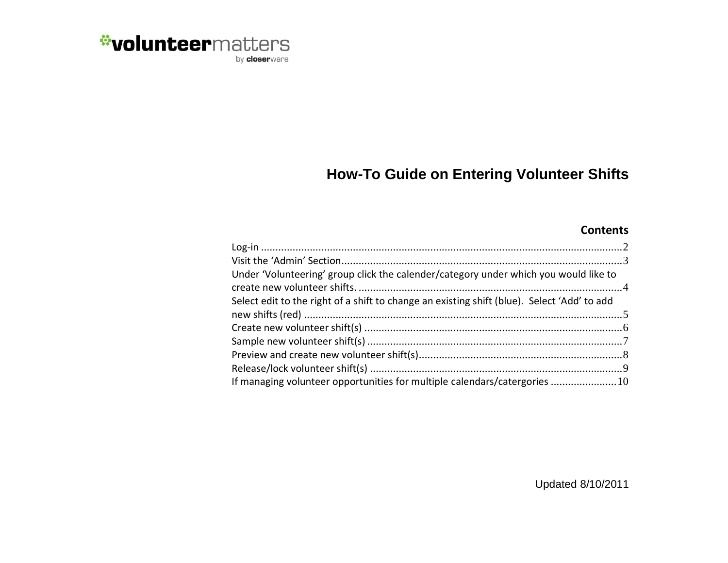

#### **How-To Guide on Entering Volunteer Shifts**

#### **Contents**

| Under 'Volunteering' group click the calender/category under which you would like to        |  |
|---------------------------------------------------------------------------------------------|--|
|                                                                                             |  |
| Select edit to the right of a shift to change an existing shift (blue). Select 'Add' to add |  |
|                                                                                             |  |
|                                                                                             |  |
|                                                                                             |  |
|                                                                                             |  |
|                                                                                             |  |
| If managing volunteer opportunities for multiple calendars/catergories  10                  |  |

Updated 8/10/2011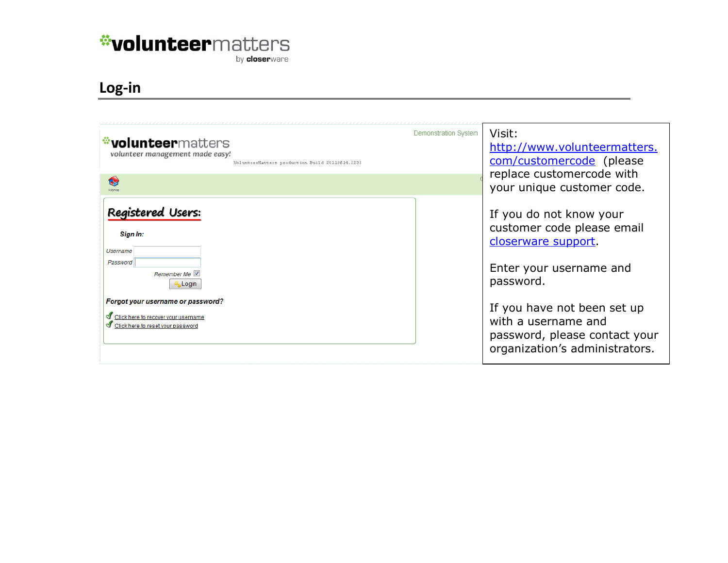by **closer**ware

#### <span id="page-1-0"></span>**Log -in**

| <b><i>d</i></b> volunteermatters<br>volunteer management made easy!<br>VolunteerMatters production Build 20110614.2235<br>6V                                                                                        | Demonstration System | Visit:<br>http://www.volunteermatters.<br>com/customercode (please<br>replace customercode with<br>your unique customer code.                                                                                                                 |
|---------------------------------------------------------------------------------------------------------------------------------------------------------------------------------------------------------------------|----------------------|-----------------------------------------------------------------------------------------------------------------------------------------------------------------------------------------------------------------------------------------------|
| <b>Registered Users:</b><br>Sign In:<br><b>Usemame</b><br>Password<br>Remember Me V<br>Login<br>Forgot your username or password?<br>In Click here to recover your username<br>In Click here to reset your password |                      | If you do not know your<br>customer code please email<br>closerware support.<br>Enter your username and<br>password.<br>If you have not been set up<br>with a username and<br>password, please contact your<br>organization's administrators. |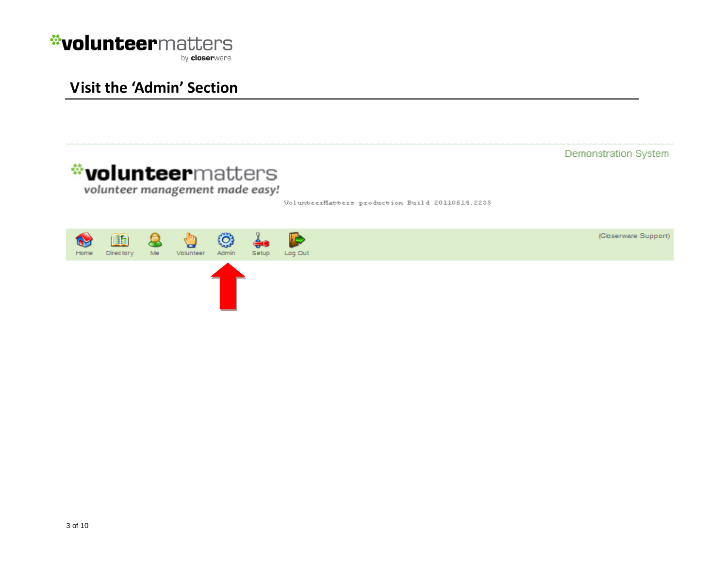

#### <span id="page-2-0"></span>**Visit the 'Admin' Section**

wolunteermatters

volunteer management made easy!

VolunteerMatters production Build 20110514.2235

Demonstration System

(Gloserware Support)

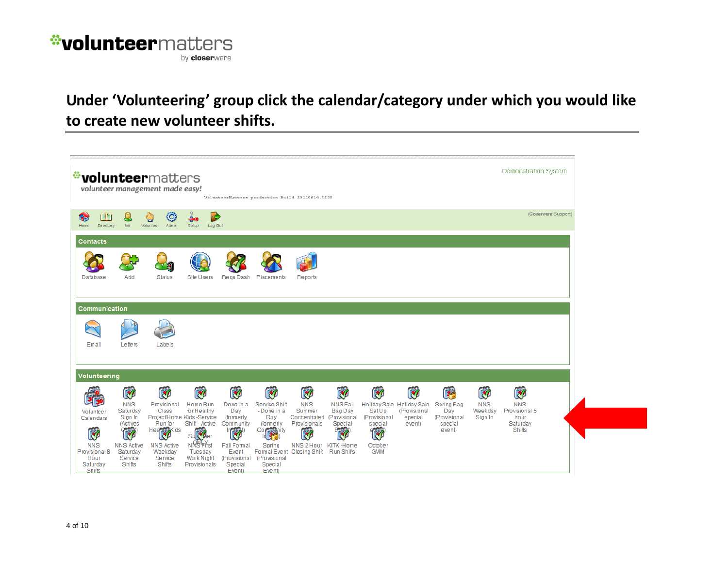

#### <span id="page-3-0"></span>**Under 'Volunteering' group click the calendar/category under which you would like to create new volunteer shifts.**

|            |                                                                                                 |                                                                                                                       | <b>*volunteer</b> matters<br>volunteer management made easy!                                                            |                                                                                                                                                                  |                                                                                                                                  | VolunteerMatters production Build 20110614.2235                                                                                                                    |                                                                                                             |                                                                |                                                                                |                                                                     |                                                                     |                                               | Demonstration System                                                  |
|------------|-------------------------------------------------------------------------------------------------|-----------------------------------------------------------------------------------------------------------------------|-------------------------------------------------------------------------------------------------------------------------|------------------------------------------------------------------------------------------------------------------------------------------------------------------|----------------------------------------------------------------------------------------------------------------------------------|--------------------------------------------------------------------------------------------------------------------------------------------------------------------|-------------------------------------------------------------------------------------------------------------|----------------------------------------------------------------|--------------------------------------------------------------------------------|---------------------------------------------------------------------|---------------------------------------------------------------------|-----------------------------------------------|-----------------------------------------------------------------------|
| 63<br>Home | 旧乱<br>Directory                                                                                 | Me                                                                                                                    | tQ.<br>Volunteer<br>Admin                                                                                               | ŀ¢,<br>Log Out<br>Setup                                                                                                                                          |                                                                                                                                  |                                                                                                                                                                    |                                                                                                             |                                                                |                                                                                |                                                                     |                                                                     |                                               | (Closerware Support)                                                  |
|            | <b>Contacts</b>                                                                                 |                                                                                                                       |                                                                                                                         |                                                                                                                                                                  |                                                                                                                                  |                                                                                                                                                                    |                                                                                                             |                                                                |                                                                                |                                                                     |                                                                     |                                               |                                                                       |
|            | Database                                                                                        | Add                                                                                                                   | <b>Status</b>                                                                                                           | <b>Site Users</b>                                                                                                                                                | Regs Dash                                                                                                                        | Placements                                                                                                                                                         | Reports                                                                                                     |                                                                |                                                                                |                                                                     |                                                                     |                                               |                                                                       |
|            | Communication                                                                                   |                                                                                                                       |                                                                                                                         |                                                                                                                                                                  |                                                                                                                                  |                                                                                                                                                                    |                                                                                                             |                                                                |                                                                                |                                                                     |                                                                     |                                               |                                                                       |
|            |                                                                                                 |                                                                                                                       |                                                                                                                         |                                                                                                                                                                  |                                                                                                                                  |                                                                                                                                                                    |                                                                                                             |                                                                |                                                                                |                                                                     |                                                                     |                                               |                                                                       |
|            | Email                                                                                           | Letters                                                                                                               | Labels                                                                                                                  |                                                                                                                                                                  |                                                                                                                                  |                                                                                                                                                                    |                                                                                                             |                                                                |                                                                                |                                                                     |                                                                     |                                               |                                                                       |
|            | Volunteering                                                                                    |                                                                                                                       |                                                                                                                         |                                                                                                                                                                  |                                                                                                                                  |                                                                                                                                                                    |                                                                                                             |                                                                |                                                                                |                                                                     |                                                                     |                                               |                                                                       |
|            | Volunteer<br>Calendars<br>W<br><b>NNS</b><br>Provisional 8<br>Hour<br>Saturday<br><b>Shifts</b> | <b>RA</b><br><b>NNS</b><br>Saturday<br>Sign In<br>(Actives<br>W<br><b>NNS Active</b><br>Saturday<br>Service<br>Shifts | <b>RA</b><br>Provisional<br>Class<br>Run for<br>Heapta Kids<br><b>NNS Active</b><br>Weekday<br>Service<br><b>Shifts</b> | <b>RA</b><br>Home Run<br>for Healthy<br>Project/Home Kids -Service<br>Shift - Active<br><b>Succe</b><br><b>NRSFirst</b><br>Tuesday<br>Work Night<br>Provisionals | Ø<br>Done in a<br>Day<br>(formerly<br>Community<br><b>RA</b><br><b>Fall Formal</b><br>Event<br>(Provisional<br>Special<br>Event) | <b>RA</b><br>Service Shift<br>-Done in a<br>Day<br>(formerly<br>Corporativ<br>Spring<br>Formal Event Closing Shift Run Shifts<br>(Provisional<br>Special<br>Event) | <b>RA</b><br><b>NNS</b><br>Summer<br>Concentrated (Provisional<br>Provisionals<br>E<br>NNS 2 Hour KITK-Home | <b>RA</b><br><b>NNS Fall</b><br><b>Bag Day</b><br>Special<br>K | $\mathbb{Z}$<br>SetUp<br>(Provisional<br>special<br>W<br>October<br><b>GMM</b> | Ø<br>Holiday Sale Holiday Sale<br>(Provisional<br>special<br>event) | <b>BE</b><br>Spring Bag<br>Day<br>(Provisional<br>special<br>event) | <b>RA</b><br><b>NNS</b><br>Weekday<br>Sign In | Ø<br><b>NNS</b><br>Provisional 5<br>hour<br>Saturday<br><b>Shifts</b> |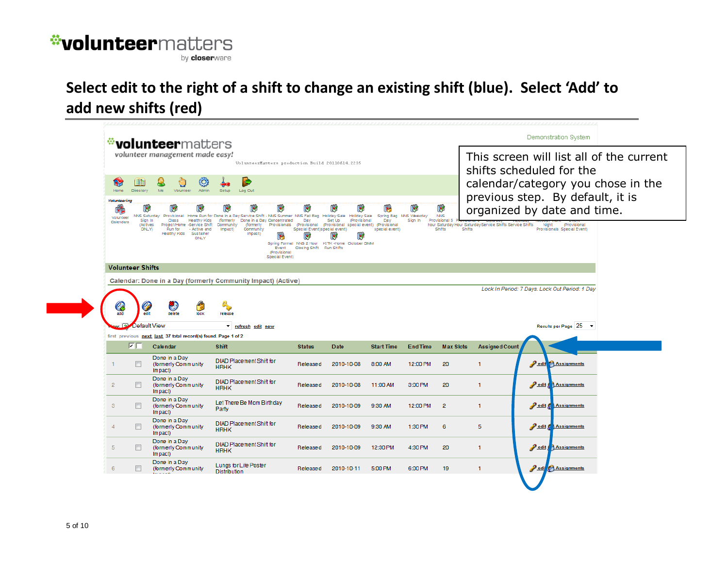by closerware

#### <span id="page-4-0"></span>**Select edit to the right of a shift to change an existing shift (blue). Select 'Add' to add new shifts (red)**

|                                                                                    |                                        | <i><b>volunteer</b>matters</i>                                                                                              |                                                                                                                                                                                 |                                                                                     |                                                                                                                                                             |                       |                 |                             | Demonstration System                                                                                                        |  |  |
|------------------------------------------------------------------------------------|----------------------------------------|-----------------------------------------------------------------------------------------------------------------------------|---------------------------------------------------------------------------------------------------------------------------------------------------------------------------------|-------------------------------------------------------------------------------------|-------------------------------------------------------------------------------------------------------------------------------------------------------------|-----------------------|-----------------|-----------------------------|-----------------------------------------------------------------------------------------------------------------------------|--|--|
| volunteer management made easy!<br>VolunteerMatters production Build 20110614.2235 |                                        |                                                                                                                             |                                                                                                                                                                                 |                                                                                     |                                                                                                                                                             |                       |                 |                             | This screen will list all of the current<br>shifts scheduled for the                                                        |  |  |
| ۵y<br>Home<br><b>Volunteering</b><br>Б,<br>Volunteer                               | 旧制<br>Directory<br>l v<br>NNS Saturday | Ю<br>Me<br>Volunteer<br>Admin<br>œ,<br>V                                                                                    | ×.<br>Setup<br>Log Out<br>સ્ત્રિ<br>l.<br>N.<br>Provisional Home Run for Done in a Day Service Shift - NNS Summer NNS Fall Bag Holiday Sale Holiday Sale Spring Bag NNS Weekday | le.                                                                                 | સ્ત્રિ                                                                                                                                                      |                       | $\mathbf{R}$    | $\mathcal{S}$<br><b>NNS</b> | calendar/category you chose in the<br>previous step. By default, it is<br>organized by date and time.                       |  |  |
| Calendars                                                                          | Sign In<br><i>(Actives</i><br>DNLY)    | Class<br>Healthy Kids<br>Project/Home -Service Shift<br>Run for<br>- Active and<br>Healthy Kids<br>Sustainer<br><b>ONLY</b> | (formerly<br>Done in a Day Concentrated<br>(formerly<br>Community<br>Impact)<br>Community<br>Impact)<br>Event<br>(Provisional<br>Special Event)                                 | Day<br>Special Event) special event)<br>$\ddot{\bm{x}}$<br>Closing Shift Run Shifts | Set Up<br>(Provisional<br>Provisionals (Provisional (Provisional special event) (Provisional<br>Ø<br>l v<br>Spring Formal NNS 2 Hour KITK -Home October GMM | Dav<br>special event) | Sign In         | Provisional 5<br>Shifts     | hour Saturday Hour Saturday Service Shifts Service Shifts<br>(Provisional<br>Night<br>Shifts<br>Provisionals Special Event) |  |  |
|                                                                                    | <b>Volunteer Shifts</b>                |                                                                                                                             |                                                                                                                                                                                 |                                                                                     |                                                                                                                                                             |                       |                 |                             |                                                                                                                             |  |  |
|                                                                                    |                                        |                                                                                                                             | Calendar: Done in a Day (formerly Community Impact) (Active)                                                                                                                    |                                                                                     |                                                                                                                                                             |                       |                 |                             |                                                                                                                             |  |  |
|                                                                                    |                                        |                                                                                                                             |                                                                                                                                                                                 |                                                                                     |                                                                                                                                                             |                       |                 |                             | Lock In Period: 7 Days. Lock Out Period: 1 Day                                                                              |  |  |
| €                                                                                  | G                                      | G<br>ГQ                                                                                                                     |                                                                                                                                                                                 |                                                                                     |                                                                                                                                                             |                       |                 |                             |                                                                                                                             |  |  |
| add                                                                                | edit                                   | delete<br>lock                                                                                                              | release                                                                                                                                                                         |                                                                                     |                                                                                                                                                             |                       |                 |                             |                                                                                                                             |  |  |
| $\alpha: \boxed{2}$                                                                | Default View                           | first previous next last 37 total record(s) found. Page 1 of 2                                                              | $\blacktriangledown$<br>refresh edit new                                                                                                                                        |                                                                                     |                                                                                                                                                             |                       |                 |                             | Results per Page 25 ▼                                                                                                       |  |  |
|                                                                                    | MГ                                     | Calendar                                                                                                                    | <b>Shift</b>                                                                                                                                                                    | <b>Status</b>                                                                       | <b>Date</b>                                                                                                                                                 | <b>Start Time</b>     | <b>End Time</b> | <b>Max Slots</b>            | <b>Assigned Count</b>                                                                                                       |  |  |
|                                                                                    | $\overline{\phantom{a}}$               | Done in a Day<br>(formerly Community<br>Impact)                                                                             | <b>DIAD Placement Shift for</b><br><b>HRHK</b>                                                                                                                                  | Released                                                                            | 2010-10-08                                                                                                                                                  | 8:00 AM               | 12:00 PM        | 20                          | $\triangle$ edit<br><b>Assignments</b><br>1                                                                                 |  |  |
| $\overline{2}$                                                                     |                                        | Done in a Day<br>(formerly Community)<br>Impact)                                                                            | <b>DIAD Placement Shift for</b><br><b>HRHK</b>                                                                                                                                  | Released                                                                            | 2010-10-08                                                                                                                                                  | 11:00 AM              | 3:00 PM         | 20                          | $\mathbf{1}$<br>edit<br><b>Assignments</b>                                                                                  |  |  |
| з                                                                                  | $\mathbb{R}^n$                         | Done in a Day<br>(formerly Community)<br>Impact)                                                                            | Let There Be Mom Birthday<br>Party                                                                                                                                              | Released                                                                            | 2010-10-09                                                                                                                                                  | 9:30 AM               | 12:00 PM        | $\overline{2}$              | $\mathbf{1}$<br>edit Assignments                                                                                            |  |  |
|                                                                                    | $\Box$                                 | Done in a Day<br>(formerly Community<br>Impact)                                                                             | <b>DIAD Placement Shift for</b><br><b>HRHK</b>                                                                                                                                  | Released                                                                            | 2010-10-09                                                                                                                                                  | 9:30 AM               | 1:30 PM         | 6                           | 5<br><b>Pedit Replanants</b>                                                                                                |  |  |
| 5                                                                                  |                                        | Done in a Day<br>(formerly Community<br>Impact)                                                                             | <b>DIAD Placement Shift for</b><br><b>HRHK</b>                                                                                                                                  | Released                                                                            | 2010-10-09                                                                                                                                                  | 12:30 PM              | 4:30 PM         | 20                          | edit Assignments<br>$\mathbf{1}$                                                                                            |  |  |
| 6                                                                                  |                                        | Done in a Day<br>(formerly Community                                                                                        | Lungs for Life Poster<br><b>Distribution</b>                                                                                                                                    | Released                                                                            | 2010-10-11                                                                                                                                                  | 5:00 PM               | 6:00 PM         | 19                          | edi <sup>1</sup> Assignments<br>$\mathbf{1}$                                                                                |  |  |
|                                                                                    |                                        |                                                                                                                             |                                                                                                                                                                                 |                                                                                     |                                                                                                                                                             |                       |                 |                             |                                                                                                                             |  |  |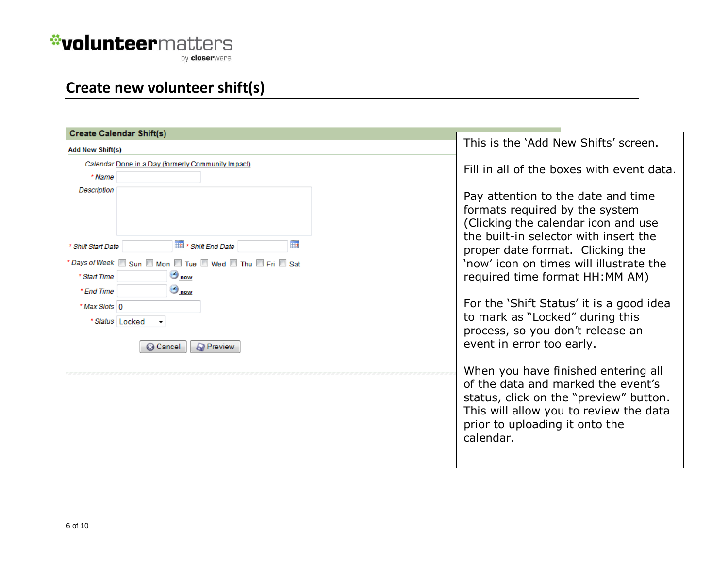by **closer**ware

#### <span id="page-5-0"></span>**Create new volunteer shift(s)**

| <b>Create Calendar Shift(s)</b>                                                          |                                                                                                                                                                                                              |
|------------------------------------------------------------------------------------------|--------------------------------------------------------------------------------------------------------------------------------------------------------------------------------------------------------------|
| <b>Add New Shift(s)</b>                                                                  | This is the 'Add New Shifts' screen.                                                                                                                                                                         |
| Calendar Done in a Day (formerly Community Impact)<br>* Name<br><b>Description</b>       | Fill in all of the boxes with event data.                                                                                                                                                                    |
|                                                                                          | Pay attention to the date and time<br>formats required by the system<br>(Clicking the calendar icon and use<br>the built-in selector with insert the                                                         |
| 亜<br>* Shift End Date<br>* Shift Start Date<br>*Days of Week Sun Mon Tue Wed Thu Fri Sat | proper date format. Clicking the<br>'now' icon on times will illustrate the                                                                                                                                  |
| $\bigcirc$ now<br>* Start Time<br>$\bigcirc$ now<br>* End Time                           | required time format HH:MM AM)                                                                                                                                                                               |
| * Max Slots 0<br>* Status Locked                                                         | For the 'Shift Status' it is a good idea<br>to mark as "Locked" during this<br>process, so you don't release an                                                                                              |
| <b>R</b> Preview<br><b>C</b> Cancel                                                      | event in error too early.                                                                                                                                                                                    |
|                                                                                          | When you have finished entering all<br>of the data and marked the event's<br>status, click on the "preview" button.<br>This will allow you to review the data<br>prior to uploading it onto the<br>calendar. |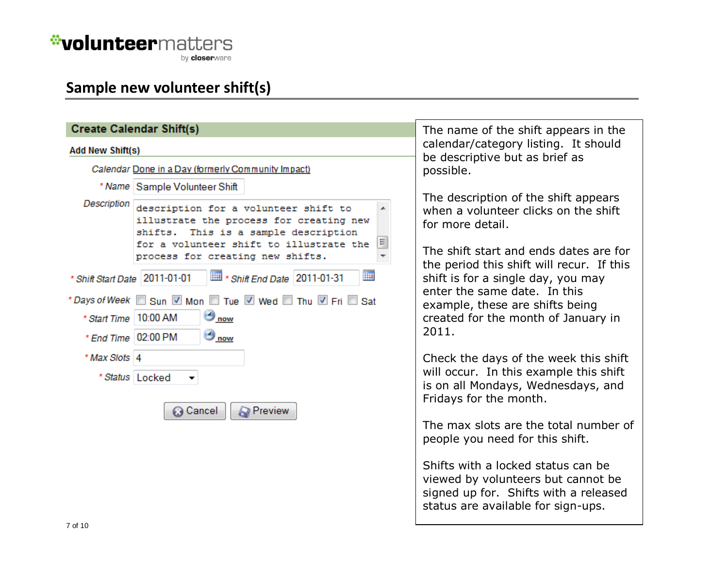by **closer**ware

### <span id="page-6-0"></span>**Sample new volunteer shift(s)**

|                                                | <b>Create Calendar Shift(s)</b>                                                                                                                                                                                                         | The name of the shift appears in the<br>calendar/category listing. It should                                                                                                            |  |  |
|------------------------------------------------|-----------------------------------------------------------------------------------------------------------------------------------------------------------------------------------------------------------------------------------------|-----------------------------------------------------------------------------------------------------------------------------------------------------------------------------------------|--|--|
| <b>Add New Shift(s)</b>                        |                                                                                                                                                                                                                                         |                                                                                                                                                                                         |  |  |
|                                                | Calendar Done in a Day (formerly Community Impact)                                                                                                                                                                                      | be descriptive but as brief as<br>possible.                                                                                                                                             |  |  |
|                                                | * Name Sample Volunteer Shift                                                                                                                                                                                                           |                                                                                                                                                                                         |  |  |
| Description                                    | description for a volunteer shift to<br>illustrate the process for creating new<br>shifts. This is a sample description<br>틔<br>for a volunteer shift to illustrate the<br>process for creating new shifts.<br>$\overline{\phantom{a}}$ | The description of the shift appears<br>when a volunteer clicks on the shift<br>for more detail.<br>The shift start and ends dates are for<br>the period this shift will recur. If this |  |  |
| * Shift Start Date 2011-01-01                  | <b>THE</b><br># * Shift End Date 2011-01-31                                                                                                                                                                                             | shift is for a single day, you may                                                                                                                                                      |  |  |
| * Start Time 10:00 AM<br>* End Time   02:00 PM | *Days of Week Sun V Mon Tue V Wed Thu V Fri Sat<br>$\bigcirc$ now<br>$\frac{1}{2}$ now                                                                                                                                                  | enter the same date. In this<br>example, these are shifts being<br>created for the month of January in<br>2011.                                                                         |  |  |
| * Max Slots 4                                  |                                                                                                                                                                                                                                         | Check the days of the week this shift                                                                                                                                                   |  |  |
|                                                | * Status   Locked<br><b>Preview</b><br>tancel ⊗                                                                                                                                                                                         | will occur. In this example this shift<br>is on all Mondays, Wednesdays, and<br>Fridays for the month.                                                                                  |  |  |
|                                                |                                                                                                                                                                                                                                         | The max slots are the total number of<br>people you need for this shift.                                                                                                                |  |  |
|                                                |                                                                                                                                                                                                                                         | Shifts with a locked status can be<br>viewed by volunteers but cannot be<br>signed up for. Shifts with a released<br>status are available for sign-ups.                                 |  |  |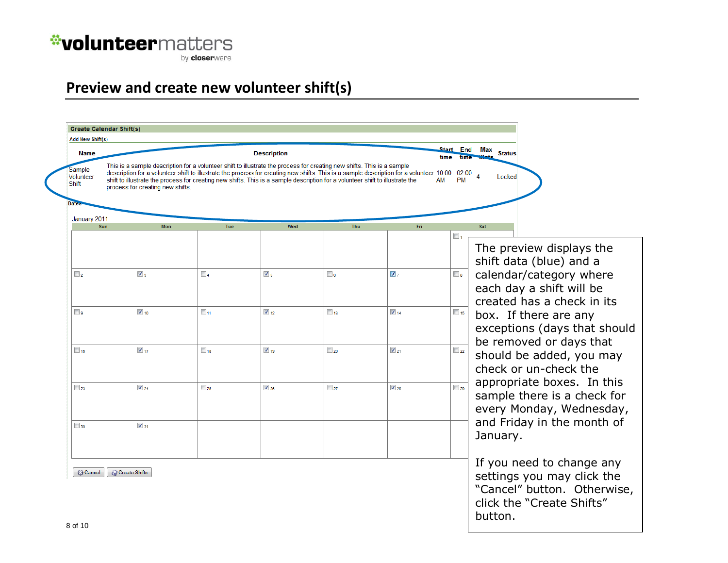by **closer**ware

#### <span id="page-7-0"></span>**Preview and create new volunteer shift(s)**

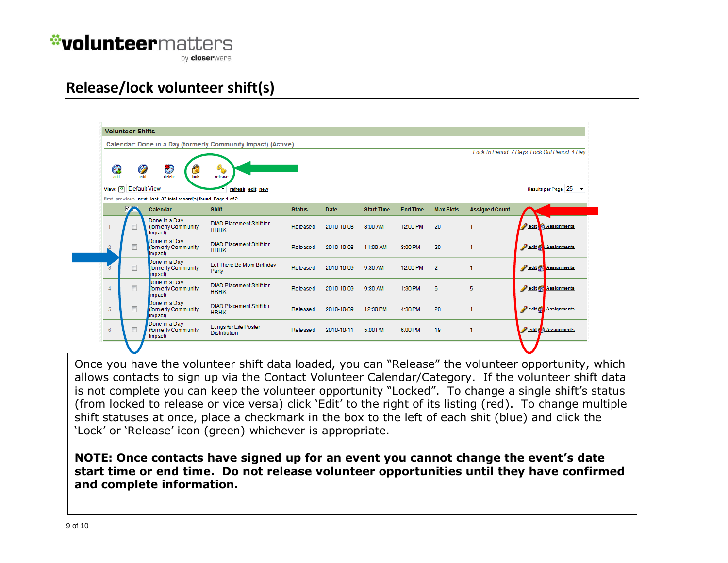by **closer**ware

#### <span id="page-8-0"></span>**Release/lock volunteer shift(s)**



Once you have the volunteer shift data loaded, you can "Release" the volunteer opportunity, which allows contacts to sign up via the Contact Volunteer Calendar/Category. If the volunteer shift data is not complete you can keep the volunteer opportunity "Locked". To change a single shift's status (from locked to release or vice versa) click 'Edit' to the right of its listing (red). To change multiple shift statuses at once, place a checkmark in the box to the left of each shit (blue) and click the 'Lock' or 'Release' icon (green) whichever is appropriate.

**NOTE: Once contacts have signed up for an event you cannot change the event's date start time or end time. Do not release volunteer opportunities until they have confirmed and complete information.**